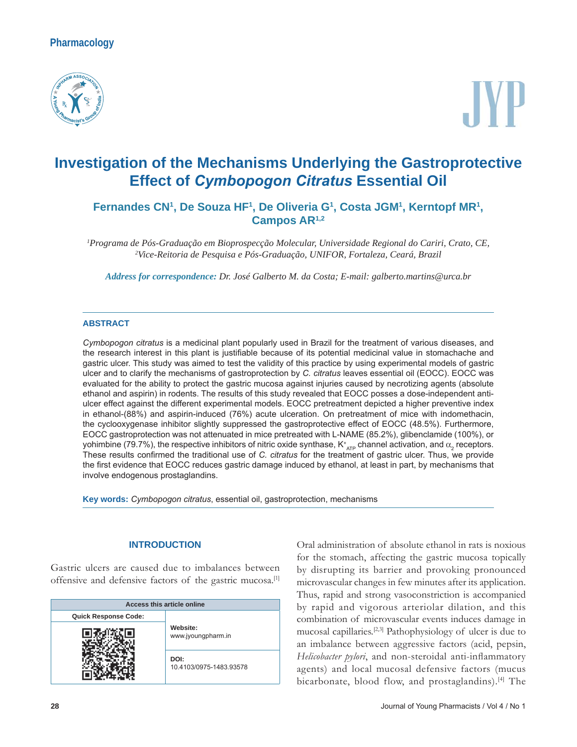# **Pharmacology**



# **Investigation of the Mechanisms Underlying the Gastroprotective Effect of** *C\mEoSogon CitratuV* **Essential Oil**

Fernandes CN<sup>1</sup>, De Souza HF<sup>1</sup>, De Oliveria G<sup>1</sup>, Costa JGM<sup>1</sup>, Kerntopf MR<sup>1</sup>, **Campos AR1,2**

<sup>1</sup> Programa de Pós-Graduação em Bioprospecção Molecular, Universidade Regional do Cariri, Crato, CE, <sup>2</sup><br><sup>2</sup> Vice-Reitoria de Pesquisa e Pós-Graduação UNIFOR Fortaleza Ceará Brazil *Vice-Reitoria de Pesquisa e Pós-Graduação, UNIFOR, Fortaleza, Ceará, Brazil*

*Address for correspondence: Dr. José Galberto M. da Costa; E-mail: galberto.martins@urca.br*

#### **ABSTRACT**

Cymbopogon citratus is a medicinal plant popularly used in Brazil for the treatment of various diseases, and the research interest in this plant is justifiable because of its potential medicinal value in stomachache and gastric ulcer. This study was aimed to test the validity of this practice by using experimental models of gastric ulcer and to clarify the mechanisms of gastroprotection by C. citratus leaves essential oil (EOCC). EOCC was evaluated for the ability to protect the gastric mucosa against injuries caused by necrotizing agents (absolute ethanol and aspirin) in rodents. The results of this study revealed that EOCC posses a dose-independent antiulcer effect against the different experimental models. EOCC pretreatment depicted a higher preventive index in ethanol-(88%) and aspirin-induced (76%) acute ulceration. On pretreatment of mice with indomethacin, the cyclooxygenase inhibitor slightly suppressed the gastroprotective effect of EOCC (48.5%). Furthermore, EOCC gastroprotection was not attenuated in mice pretreated with L-NAME (85.2%), glibenclamide (100%), or yohimbine (79.7%), the respective inhibitors of nitric oxide synthase, K $^*_{\rm_{ATP}}$  channel activation, and  $\alpha^{}_2$  receptors. These results confirmed the traditional use of C. citratus for the treatment of gastric ulcer. Thus, we provide the first evidence that EOCC reduces gastric damage induced by ethanol, at least in part, by mechanisms that involve endogenous prostaglandins.

**Key words:** *Cymbopogon citratus*, essential oil, gastroprotection, mechanisms

#### **INTRODUCTION**

Gastric ulcers are caused due to imbalances between offensive and defensive factors of the gastric mucosa.[1]

| Access this article online  |                                 |  |  |
|-----------------------------|---------------------------------|--|--|
| <b>Quick Response Code:</b> | Website:<br>www.jyoungpharm.in  |  |  |
|                             |                                 |  |  |
|                             | DOI:<br>10.4103/0975-1483.93578 |  |  |

Oral administration of absolute ethanol in rats is noxious for the stomach, affecting the gastric mucosa topically by disrupting its barrier and provoking pronounced microvascular changes in few minutes after its application. Thus, rapid and strong vasoconstriction is accompanied by rapid and vigorous arteriolar dilation, and this combination of microvascular events induces damage in mucosal capillaries.[2,3] Pathophysiology of ulcer is due to an imbalance between aggressive factors (acid, pepsin, *Helicobacter pylori*, and non-steroidal anti-inflammatory agents) and local mucosal defensive factors (mucus bicarbonate, blood flow, and prostaglandins).[4] The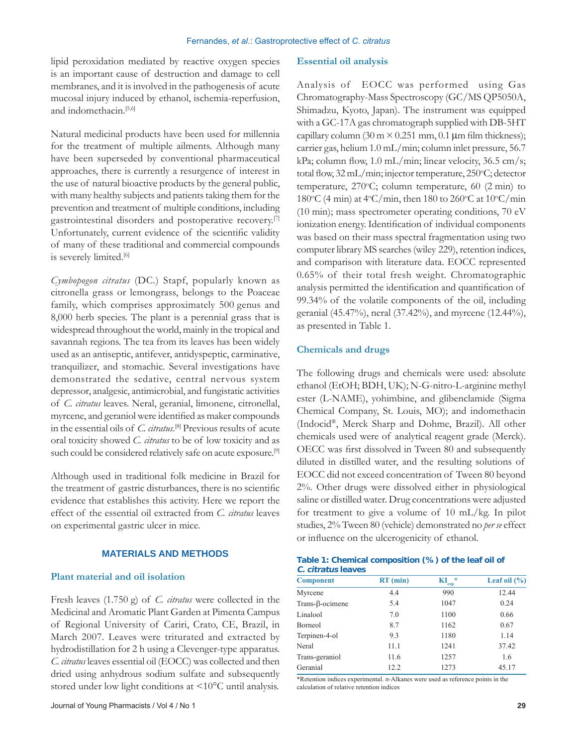lipid peroxidation mediated by reactive oxygen species is an important cause of destruction and damage to cell membranes, and it is involved in the pathogenesis of acute mucosal injury induced by ethanol, ischemia-reperfusion, and indomethacin.<sup>[5,6]</sup>

Natural medicinal products have been used for millennia for the treatment of multiple ailments. Although many have been superseded by conventional pharmaceutical approaches, there is currently a resurgence of interest in the use of natural bioactive products by the general public, with many healthy subjects and patients taking them for the prevention and treatment of multiple conditions, including gastrointestinal disorders and postoperative recovery.[7] Unfortunately, current evidence of the scientific validity of many of these traditional and commercial compounds is severely limited.<sup>[6]</sup>

*Cymbopogon citratus* (DC.) Stapf, popularly known as citronella grass or lemongrass, belongs to the Poaceae family, which comprises approximately 500 genus and 8,000 herb species. The plant is a perennial grass that is widespread throughout the world, mainly in the tropical and savannah regions. The tea from its leaves has been widely used as an antiseptic, antifever, antidyspeptic, carminative, tranquilizer, and stomachic. Several investigations have demonstrated the sedative, central nervous system depressor, analgesic, antimicrobial, and fungistatic activities of *C. citratus* leaves. Neral, geranial, limonene, citronellal, myrcene, and geraniol were identified as maker compounds in the essential oils of *C. citratus*. [8] Previous results of acute oral toxicity showed *C. citratus* to be of low toxicity and as such could be considered relatively safe on acute exposure.<sup>[9]</sup>

Although used in traditional folk medicine in Brazil for the treatment of gastric disturbances, there is no scientific evidence that establishes this activity. Here we report the effect of the essential oil extracted from *C. citratus* leaves on experimental gastric ulcer in mice.

#### **MATERIALS AND METHODS**

#### **Plant material and oil isolation**

Fresh leaves (1.750 g) of *C. citratus* were collected in the Medicinal and Aromatic Plant Garden at Pimenta Campus of Regional University of Cariri, Crato, CE, Brazil, in March 2007. Leaves were triturated and extracted by hydrodistillation for 2 h using a Clevenger-type apparatus. *C. citratus* leaves essential oil (EOCC) was collected and then dried using anhydrous sodium sulfate and subsequently stored under low light conditions at <10°C until analysis.

#### **Essential oil analysis**

Analysis of EOCC was performed using Gas Chromatography-Mass Spectroscopy (GC/MS QP5050A, Shimadzu, Kyoto, Japan). The instrument was equipped with a GC-17A gas chromatograph supplied with DB-5HT capillary column (30 m  $\times$  0.251 mm, 0.1 µm film thickness); carrier gas, helium 1.0 mL/min; column inlet pressure, 56.7 kPa; column flow, 1.0 mL/min; linear velocity, 36.5 cm/s; total flow, 32 mL/min; injector temperature, 250°C; detector temperature, 270°C; column temperature, 60 (2 min) to 180°C (4 min) at 4°C/min, then 180 to 260°C at 10°C/min (10 min); mass spectrometer operating conditions, 70 eV ionization energy. Identification of individual components was based on their mass spectral fragmentation using two computer library MS searches (wiley 229), retention indices, and comparison with literature data. EOCC represented 0.65% of their total fresh weight. Chromatographic analysis permitted the identification and quantification of 99.34% of the volatile components of the oil, including geranial (45.47%), neral (37.42%), and myrcene (12.44%), as presented in Table 1.

#### **Chemicals and drugs**

The following drugs and chemicals were used: absolute ethanol (EtOH; BDH, UK); N-G-nitro-L-arginine methyl ester (L-NAME), yohimbine, and glibenclamide (Sigma Chemical Company, St. Louis, MO); and indomethacin (Indocid®, Merck Sharp and Dohme, Brazil). All other chemicals used were of analytical reagent grade (Merck). OECC was first dissolved in Tween 80 and subsequently diluted in distilled water, and the resulting solutions of EOCC did not exceed concentration of Tween 80 beyond 2%. Other drugs were dissolved either in physiological saline or distilled water. Drug concentrations were adjusted for treatment to give a volume of 10 mL/kg. In pilot studies, 2% Tween 80 (vehicle) demonstrated no *per se* effect or inÁuence on the ulcerogenicity of ethanol.

| Table 1: Chemical composition (%) of the leaf oil of |  |
|------------------------------------------------------|--|
| C. citratus leaves                                   |  |

| <b>Component</b>        | $RT$ (min) | ÷<br>exp | Leaf oil $(\% )$ |
|-------------------------|------------|----------|------------------|
| Myrcene                 | 4.4        | 990      | 12.44            |
| Trans- $\beta$ -ocimene | 5.4        | 1047     | 0.24             |
| Linalool                | 7.0        | 1100     | 0.66             |
| <b>Borneol</b>          | 8.7        | 1162     | 0.67             |
| Terpinen-4-ol           | 9.3        | 1180     | 1.14             |
| Neral                   | 11.1       | 1241     | 37.42            |
| Trans-geraniol          | 11.6       | 1257     | 1.6              |
| Geranial                | 12.2       | 1273     | 45.17            |

\*Retention indices experimental. *n*-Alkanes were used as reference points in the calculation of relative retention indices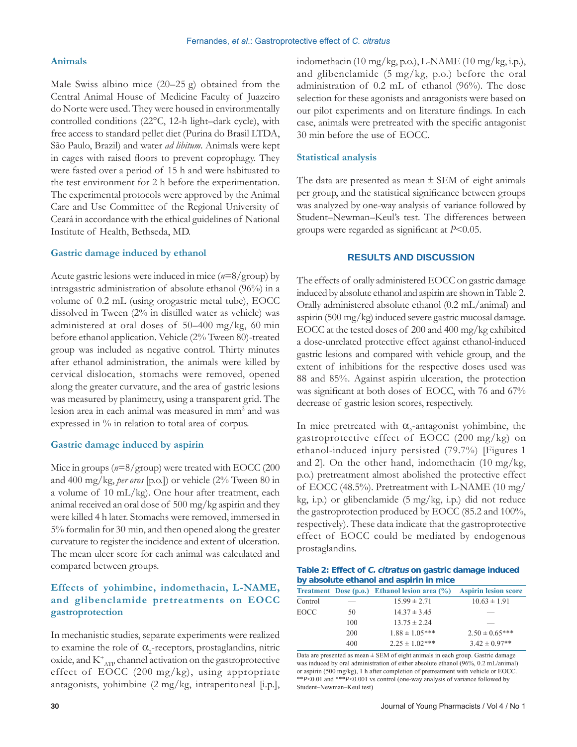### **Animals**

Male Swiss albino mice (20–25 g) obtained from the Central Animal House of Medicine Faculty of Juazeiro do Norte were used. They were housed in environmentally controlled conditions (22°C, 12-h light–dark cycle), with free access to standard pellet diet (Purina do Brasil LTDA, São Paulo, Brazil) and water *ad libitum*. Animals were kept in cages with raised Áoors to prevent coprophagy. They were fasted over a period of 15 h and were habituated to the test environment for 2 h before the experimentation. The experimental protocols were approved by the Animal Care and Use Committee of the Regional University of Ceará in accordance with the ethical guidelines of National Institute of Health, Bethseda, MD.

#### **Gastric damage induced by ethanol**

Acute gastric lesions were induced in mice (*n*=8/group) by intragastric administration of absolute ethanol (96%) in a volume of 0.2 mL (using orogastric metal tube), EOCC dissolved in Tween (2% in distilled water as vehicle) was administered at oral doses of 50–400 mg/kg, 60 min before ethanol application. Vehicle (2% Tween 80)-treated group was included as negative control. Thirty minutes after ethanol administration, the animals were killed by cervical dislocation, stomachs were removed, opened along the greater curvature, and the area of gastric lesions was measured by planimetry, using a transparent grid. The lesion area in each animal was measured in mm2 and was expressed in % in relation to total area of corpus.

#### **Gastric damage induced by aspirin**

Mice in groups ( $n=8/\text{group}$ ) were treated with EOCC (200) and 400 mg/kg, *per oros* [p.o.]) or vehicle (2% Tween 80 in a volume of 10 mL/kg). One hour after treatment, each animal received an oral dose of 500 mg/kg aspirin and they were killed 4 h later. Stomachs were removed, immersed in 5% formalin for 30 min, and then opened along the greater curvature to register the incidence and extent of ulceration. The mean ulcer score for each animal was calculated and compared between groups.

## **Effects of yohimbine, indomethacin, L-NAME, and glibenclamide pretreatments on EOCC gastroprotection**

In mechanistic studies, separate experiments were realized to examine the role of  $\alpha_{2}$ -receptors, prostaglandins, nitric oxide, and  $\mathrm{K}^{\mathrm{+}}_{\mathrm{ATP}}$  channel activation on the gastroprotective effect of EOCC (200 mg/kg), using appropriate antagonists, yohimbine (2 mg/kg, intraperitoneal [i.p.],

indomethacin (10 mg/kg, p.o.), L-NAME (10 mg/kg, i.p.), and glibenclamide (5 mg/kg, p.o.) before the oral administration of 0.2 mL of ethanol (96%). The dose selection for these agonists and antagonists were based on our pilot experiments and on literature findings. In each case, animals were pretreated with the specific antagonist 30 min before the use of EOCC.

#### **Statistical analysis**

The data are presented as mean  $\pm$  SEM of eight animals per group, and the statistical significance between groups was analyzed by one-way analysis of variance followed by Student–Newman–Keul's test. The differences between groups were regarded as significant at *P*<0.05.

### **RESULTS AND DISCUSSION**

The effects of orally administered EOCC on gastric damage induced by absolute ethanol and aspirin are shown in Table 2. Orally administered absolute ethanol (0.2 mL/animal) and aspirin (500 mg/kg) induced severe gastric mucosal damage. EOCC at the tested doses of 200 and 400 mg/kg exhibited a dose-unrelated protective effect against ethanol-induced gastric lesions and compared with vehicle group, and the extent of inhibitions for the respective doses used was 88 and 85%. Against aspirin ulceration, the protection was significant at both doses of EOCC, with 76 and 67% decrease of gastric lesion scores, respectively.

In mice pretreated with  $\alpha_2$ -antagonist yohimbine, the gastroprotective effect of EOCC (200 mg/kg) on ethanol-induced injury persisted (79.7%) [Figures 1 and 2]. On the other hand, indomethacin  $(10 \text{ mg/kg},$ p.o.) pretreatment almost abolished the protective effect of EOCC (48.5%). Pretreatment with L-NAME (10 mg/ kg, i.p.) or glibenclamide  $(5 \text{ mg/kg}, i.p.)$  did not reduce the gastroprotection produced by EOCC (85.2 and 100%, respectively). These data indicate that the gastroprotective effect of EOCC could be mediated by endogenous prostaglandins.

| Table 2: Effect of C. citratus on gastric damage induced |  |
|----------------------------------------------------------|--|
| by absolute ethanol and aspirin in mice                  |  |

|         |     | Treatment Dose (p.o.) Ethanol lesion area (%) Aspirin lesion score |                    |
|---------|-----|--------------------------------------------------------------------|--------------------|
| Control |     | $15.99 \pm 2.71$                                                   | $10.63 \pm 1.91$   |
| EOCC    | 50  | $14.37 \pm 3.45$                                                   |                    |
|         | 100 | $13.75 \pm 2.24$                                                   |                    |
|         | 200 | $1.88 \pm 1.05***$                                                 | $2.50 \pm 0.65***$ |
|         | 400 | $2.25 \pm 1.02$ ***                                                | $3.42 \pm 0.97**$  |

Data are presented as mean  $\pm$  SEM of eight animals in each group. Gastric damage was induced by oral administration of either absolute ethanol (96%, 0.2 mL/animal) or aspirin (500 mg/kg), 1 h after completion of pretreatment with vehicle or EOCC. \*\**P*<0.01 and \*\*\**P*<0.001 vs control (one-way analysis of variance followed by Student–Newman–Keul test)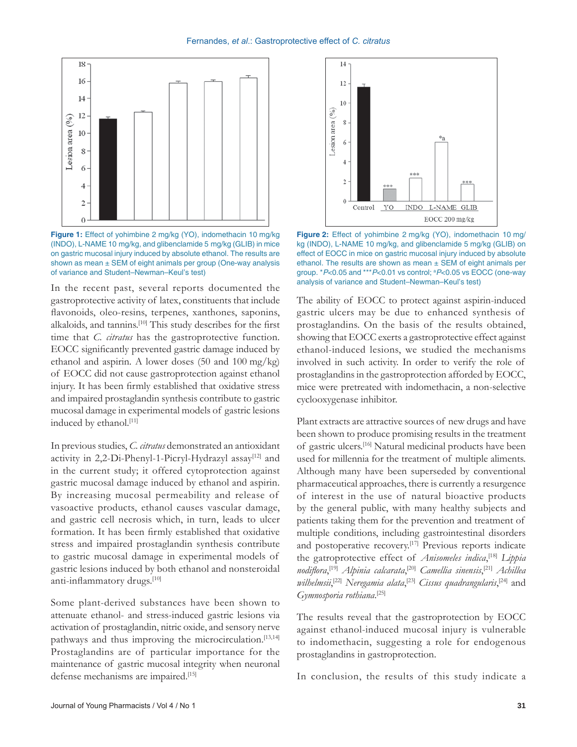

Figure 1: Effect of yohimbine 2 mg/kg (YO), indomethacin 10 mg/kg (INDO), L-NAME 10 mg/kg, and glibenclamide 5 mg/kg (GLIB) in mice on gastric mucosal injury induced by absolute ethanol. The results are shown as mean  $\pm$  SEM of eight animals per group (One-way analysis of variance and Student–Newman–Keul's test)

In the recent past, several reports documented the gastroprotective activity of latex, constituents that include flavonoids, oleo-resins, terpenes, xanthones, saponins, alkaloids, and tannins.<sup>[10]</sup> This study describes for the first time that *C. citratus* has the gastroprotective function. EOCC significantly prevented gastric damage induced by ethanol and aspirin. A lower doses (50 and 100 mg/kg) of EOCC did not cause gastroprotection against ethanol injury. It has been firmly established that oxidative stress and impaired prostaglandin synthesis contribute to gastric mucosal damage in experimental models of gastric lesions induced by ethanol.<sup>[11]</sup>

In previous studies, *C. citratus* demonstrated an antioxidant activity in 2,2-Di-Phenyl-1-Picryl-Hydrazyl assay<sup>[12]</sup> and in the current study; it offered cytoprotection against gastric mucosal damage induced by ethanol and aspirin. By increasing mucosal permeability and release of vasoactive products, ethanol causes vascular damage, and gastric cell necrosis which, in turn, leads to ulcer formation. It has been firmly established that oxidative stress and impaired prostaglandin synthesis contribute to gastric mucosal damage in experimental models of gastric lesions induced by both ethanol and nonsteroidal anti-inflammatory drugs.[10]

Some plant-derived substances have been shown to attenuate ethanol- and stress-induced gastric lesions via activation of prostaglandin, nitric oxide, and sensory nerve pathways and thus improving the microcirculation.<sup>[13,14]</sup> Prostaglandins are of particular importance for the maintenance of gastric mucosal integrity when neuronal defense mechanisms are impaired.<sup>[15]</sup>



Figure 2: Effect of yohimbine 2 mg/kg (YO), indomethacin 10 mg/ kg (INDO), L-NAME 10 mg/kg, and glibenclamide 5 mg/kg (GLIB) on effect of EOCC in mice on gastric mucosal injury induced by absolute ethanol. The results are shown as mean ± SEM of eight animals per group. \**P*<0.05 and \*\*\**P*<0.01 vs control; <sup>a</sup>P<0.05 vs EOCC (one-way analysis of variance and Student–Newman–Keul's test)

The ability of EOCC to protect against aspirin-induced gastric ulcers may be due to enhanced synthesis of prostaglandins. On the basis of the results obtained, showing that EOCC exerts a gastroprotective effect against ethanol-induced lesions, we studied the mechanisms involved in such activity. In order to verify the role of prostaglandins in the gastroprotection afforded by EOCC, mice were pretreated with indomethacin, a non-selective cyclooxygenase inhibitor.

Plant extracts are attractive sources of new drugs and have been shown to produce promising results in the treatment of gastric ulcers.[16] Natural medicinal products have been used for millennia for the treatment of multiple aliments. Although many have been superseded by conventional pharmaceutical approaches, there is currently a resurgence of interest in the use of natural bioactive products by the general public, with many healthy subjects and patients taking them for the prevention and treatment of multiple conditions, including gastrointestinal disorders and postoperative recovery.<sup>[17]</sup> Previous reports indicate the gatroprotective effect of *Anisomeles indica*, [18] *Lippia nodiÁora*, [19] *Alpinia calcarata*, [20] *Camellia sinensis*, [21] *Achillea wilhelmsii*, [22] *Neregamia alata*, [23] *Cissus quadrangularis*, [24] and *Gymnosporia rothiana*. [25]

The results reveal that the gastroprotection by EOCC against ethanol-induced mucosal injury is vulnerable to indomethacin, suggesting a role for endogenous prostaglandins in gastroprotection.

In conclusion, the results of this study indicate a